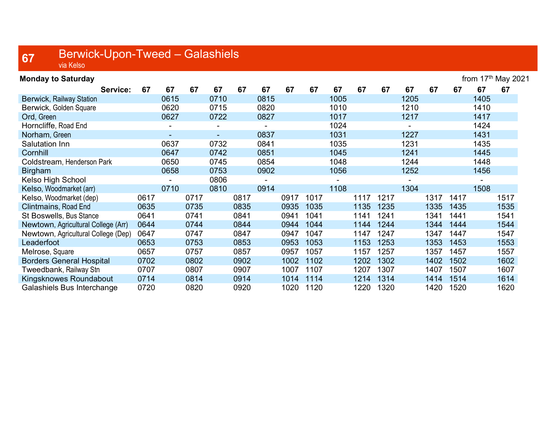## $67$  Berwick-Upon-Tweed – Galashiels

| <b>Monday to Saturday</b>           |      |                |      |                |      |      |      |      |      |      |      |      |      |      | from 17th May 2021 |      |
|-------------------------------------|------|----------------|------|----------------|------|------|------|------|------|------|------|------|------|------|--------------------|------|
| Service:                            | 67   | 67             | 67   | 67             | 67   | 67   | 67   | 67   | 67   | 67   | 67   | 67   | 67   | 67   | 67                 | 67   |
| <b>Berwick, Railway Station</b>     |      | 0615           |      | 0710           |      | 0815 |      |      | 1005 |      |      | 1205 |      |      | 1405               |      |
| Berwick, Golden Square              |      | 0620           |      | 0715           |      | 0820 |      |      | 1010 |      |      | 1210 |      |      | 1410               |      |
| Ord, Green                          |      | 0627           |      | 0722           |      | 0827 |      |      | 1017 |      |      | 1217 |      |      | 1417               |      |
| Horncliffe, Road End                |      | $\blacksquare$ |      | $\blacksquare$ |      |      |      |      | 1024 |      |      | ۰    |      |      | 1424               |      |
| Norham, Green                       |      |                |      | ÷.             |      | 0837 |      |      | 1031 |      |      | 1227 |      |      | 1431               |      |
| Salutation Inn                      |      | 0637           |      | 0732           |      | 0841 |      |      | 1035 |      |      | 1231 |      |      | 1435               |      |
| Cornhill                            |      | 0647           |      | 0742           |      | 0851 |      |      | 1045 |      |      | 1241 |      |      | 1445               |      |
| Coldstream, Henderson Park          |      | 0650           |      | 0745           |      | 0854 |      |      | 1048 |      |      | 1244 |      |      | 1448               |      |
| <b>Birgham</b>                      |      | 0658           |      | 0753           |      | 0902 |      |      | 1056 |      |      | 1252 |      |      | 1456               |      |
| Kelso High School                   |      |                |      | 0806           |      |      |      |      |      |      |      |      |      |      |                    |      |
| Kelso, Woodmarket (arr)             |      | 0710           |      | 0810           |      | 0914 |      |      | 1108 |      |      | 1304 |      |      | 1508               |      |
| Kelso, Woodmarket (dep)             | 0617 |                | 0717 |                | 0817 |      | 0917 | 1017 |      | 1117 | 1217 |      | 1317 | 1417 |                    | 1517 |
| Clintmains, Road End                | 0635 |                | 0735 |                | 0835 |      | 0935 | 1035 |      | 1135 | 1235 |      | 1335 | 1435 |                    | 1535 |
| St Boswells, Bus Stance             | 0641 |                | 0741 |                | 0841 |      | 0941 | 1041 |      | 1141 | 1241 |      | 1341 | 1441 |                    | 1541 |
| Newtown, Agricultural College (Arr) | 0644 |                | 0744 |                | 0844 |      | 0944 | 1044 |      | 1144 | 1244 |      | 1344 | 1444 |                    | 1544 |
| Newtown, Agricultural College (Dep) | 0647 |                | 0747 |                | 0847 |      | 0947 | 1047 |      | 1147 | 1247 |      | 1347 | 1447 |                    | 1547 |
| Leaderfoot                          | 0653 |                | 0753 |                | 0853 |      | 0953 | 1053 |      | 1153 | 1253 |      | 1353 | 1453 |                    | 1553 |
| Melrose, Square                     | 0657 |                | 0757 |                | 0857 |      | 0957 | 1057 |      | 1157 | 1257 |      | 1357 | 1457 |                    | 1557 |
| <b>Borders General Hospital</b>     | 0702 |                | 0802 |                | 0902 |      | 1002 | 1102 |      | 1202 | 1302 |      | 1402 | 1502 |                    | 1602 |
| Tweedbank, Railway Stn              | 0707 |                | 0807 |                | 0907 |      | 1007 | 1107 |      | 1207 | 1307 |      | 1407 | 1507 |                    | 1607 |
| Kingsknowes Roundabout              | 0714 |                | 0814 |                | 0914 |      | 1014 | 1114 |      | 1214 | 1314 |      | 1414 | 1514 |                    | 1614 |
| Galashiels Bus Interchange          | 0720 |                | 0820 |                | 0920 |      | 1020 | 1120 |      | 1220 | 1320 |      | 1420 | 1520 |                    | 1620 |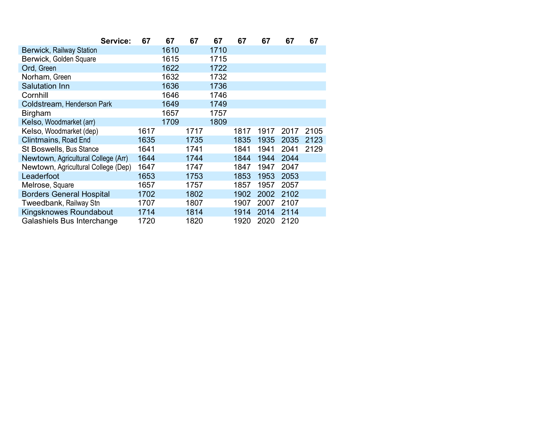| Service:                            | 67   | 67   | 67   | 67   | 67   | 67   | 67   | 67   |
|-------------------------------------|------|------|------|------|------|------|------|------|
| <b>Berwick, Railway Station</b>     |      | 1610 |      | 1710 |      |      |      |      |
| Berwick, Golden Square              |      | 1615 |      | 1715 |      |      |      |      |
| Ord, Green                          |      | 1622 |      | 1722 |      |      |      |      |
| Norham, Green                       |      | 1632 |      | 1732 |      |      |      |      |
| <b>Salutation Inn</b>               |      | 1636 |      | 1736 |      |      |      |      |
| Cornhill                            |      | 1646 |      | 1746 |      |      |      |      |
| Coldstream, Henderson Park          |      | 1649 |      | 1749 |      |      |      |      |
| <b>Birgham</b>                      |      | 1657 |      | 1757 |      |      |      |      |
| Kelso, Woodmarket (arr)             |      | 1709 |      | 1809 |      |      |      |      |
| Kelso, Woodmarket (dep)             | 1617 |      | 1717 |      | 1817 | 1917 | 2017 | 2105 |
| <b>Clintmains, Road End</b>         | 1635 |      | 1735 |      | 1835 | 1935 | 2035 | 2123 |
| <b>St Boswells, Bus Stance</b>      | 1641 |      | 1741 |      | 1841 | 1941 | 2041 | 2129 |
| Newtown, Agricultural College (Arr) | 1644 |      | 1744 |      | 1844 | 1944 | 2044 |      |
| Newtown, Agricultural College (Dep) | 1647 |      | 1747 |      | 1847 | 1947 | 2047 |      |
| Leaderfoot                          | 1653 |      | 1753 |      | 1853 | 1953 | 2053 |      |
| Melrose, Square                     | 1657 |      | 1757 |      | 1857 | 1957 | 2057 |      |
| <b>Borders General Hospital</b>     | 1702 |      | 1802 |      | 1902 | 2002 | 2102 |      |
| Tweedbank, Railway Stn              | 1707 |      | 1807 |      | 1907 | 2007 | 2107 |      |
| Kingsknowes Roundabout              | 1714 |      | 1814 |      | 1914 | 2014 | 2114 |      |
| Galashiels Bus Interchange          | 1720 |      | 1820 |      | 1920 | 2020 | 2120 |      |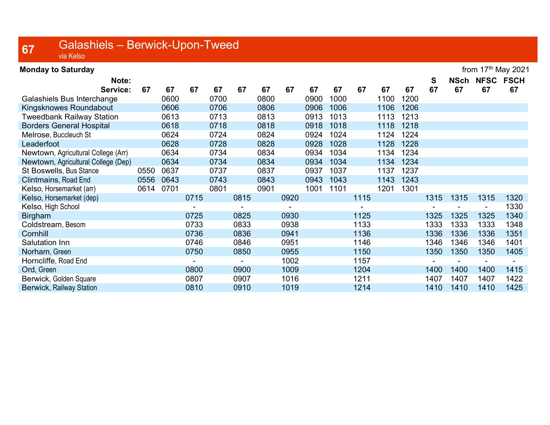## 67 Galashiels – Berwick-Upon-Tweed via Kelso

| <b>Monday to Saturday</b>           |      |      |      |      |      |      |      |      |      |      |      |      |      |             |                | from $17th$ May 2021 |
|-------------------------------------|------|------|------|------|------|------|------|------|------|------|------|------|------|-------------|----------------|----------------------|
| Note:                               |      |      |      |      |      |      |      |      |      |      |      |      | S    | <b>NSch</b> | <b>NFSC</b>    | <b>FSCH</b>          |
| Service:                            | 67   | 67   | 67   | 67   | 67   | 67   | 67   | 67   | 67   | 67   | 67   | 67   | 67   | 67          | 67             | 67                   |
| Galashiels Bus Interchange          |      | 0600 |      | 0700 |      | 0800 |      | 0900 | 1000 |      | 1100 | 1200 |      |             |                |                      |
| Kingsknowes Roundabout              |      | 0606 |      | 0706 |      | 0806 |      | 0906 | 1006 |      | 1106 | 1206 |      |             |                |                      |
| <b>Tweedbank Railway Station</b>    |      | 0613 |      | 0713 |      | 0813 |      | 0913 | 1013 |      | 1113 | 1213 |      |             |                |                      |
| <b>Borders General Hospital</b>     |      | 0618 |      | 0718 |      | 0818 |      | 0918 | 1018 |      | 1118 | 1218 |      |             |                |                      |
| Melrose, Buccleuch St               |      | 0624 |      | 0724 |      | 0824 |      | 0924 | 1024 |      | 1124 | 1224 |      |             |                |                      |
| Leaderfoot                          |      | 0628 |      | 0728 |      | 0828 |      | 0928 | 1028 |      | 1128 | 1228 |      |             |                |                      |
| Newtown, Agricultural College (Arr) |      | 0634 |      | 0734 |      | 0834 |      | 0934 | 1034 |      | 1134 | 1234 |      |             |                |                      |
| Newtown, Agricultural College (Dep) |      | 0634 |      | 0734 |      | 0834 |      | 0934 | 1034 |      | 1134 | 1234 |      |             |                |                      |
| St Boswells, Bus Stance             | 0550 | 0637 |      | 0737 |      | 0837 |      | 0937 | 1037 |      | 1137 | 1237 |      |             |                |                      |
| Clintmains, Road End                | 0556 | 0643 |      | 0743 |      | 0843 |      | 0943 | 1043 |      | 1143 | 1243 |      |             |                |                      |
| Kelso, Horsemarket (arr)            | 0614 | 0701 |      | 0801 |      | 0901 |      | 1001 | 1101 |      | 1201 | 1301 |      |             |                |                      |
| Kelso, Horsemarket (dep)            |      |      | 0715 |      | 0815 |      | 0920 |      |      | 1115 |      |      | 1315 | 1315        | 1315           | 1320                 |
| Kelso, High School                  |      |      |      |      |      |      |      |      |      |      |      |      |      |             | $\blacksquare$ | 1330                 |
| <b>Birgham</b>                      |      |      | 0725 |      | 0825 |      | 0930 |      |      | 1125 |      |      | 1325 | 1325        | 1325           | 1340                 |
| Coldstream, Besom                   |      |      | 0733 |      | 0833 |      | 0938 |      |      | 1133 |      |      | 1333 | 1333        | 1333           | 1348                 |
| Cornhill                            |      |      | 0736 |      | 0836 |      | 0941 |      |      | 1136 |      |      | 1336 | 1336        | 1336           | 1351                 |
| Salutation Inn                      |      |      | 0746 |      | 0846 |      | 0951 |      |      | 1146 |      |      | 1346 | 1346        | 1346           | 1401                 |
| Norham, Green                       |      |      | 0750 |      | 0850 |      | 0955 |      |      | 1150 |      |      | 1350 | 1350        | 1350           | 1405                 |
| Horncliffe, Road End                |      |      |      |      |      |      | 1002 |      |      | 1157 |      |      |      |             |                |                      |
| Ord, Green                          |      |      | 0800 |      | 0900 |      | 1009 |      |      | 1204 |      |      | 1400 | 1400        | 1400           | 1415                 |
| Berwick, Golden Square              |      |      | 0807 |      | 0907 |      | 1016 |      |      | 1211 |      |      | 1407 | 1407        | 1407           | 1422                 |
| <b>Berwick, Railway Station</b>     |      |      | 0810 |      | 0910 |      | 1019 |      |      | 1214 |      |      | 1410 | 1410        | 1410           | 1425                 |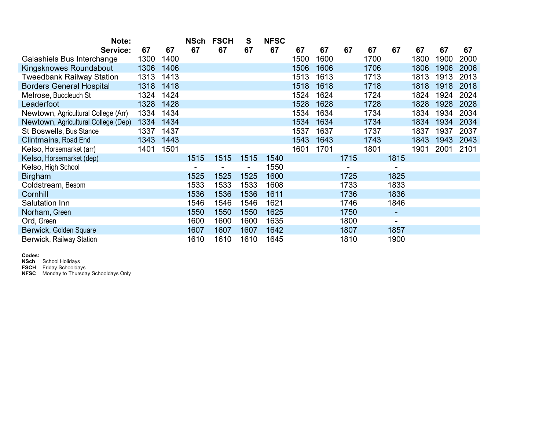| Note:                               |      |      | <b>NSch</b> | <b>FSCH</b> | S    | <b>NFSC</b> |      |      |      |      |      |      |      |      |
|-------------------------------------|------|------|-------------|-------------|------|-------------|------|------|------|------|------|------|------|------|
| Service:                            | 67   | 67   | 67          | 67          | 67   | 67          | 67   | 67   | 67   | 67   | 67   | 67   | 67   | 67   |
| Galashiels Bus Interchange          | 1300 | 1400 |             |             |      |             | 1500 | 1600 |      | 1700 |      | 1800 | 1900 | 2000 |
| Kingsknowes Roundabout              | 1306 | 1406 |             |             |      |             | 1506 | 1606 |      | 1706 |      | 1806 | 1906 | 2006 |
| <b>Tweedbank Railway Station</b>    | 1313 | 1413 |             |             |      |             | 1513 | 1613 |      | 1713 |      | 1813 | 1913 | 2013 |
| <b>Borders General Hospital</b>     | 1318 | 1418 |             |             |      |             | 1518 | 1618 |      | 1718 |      | 1818 | 1918 | 2018 |
| Melrose, Buccleuch St               | 1324 | 1424 |             |             |      |             | 1524 | 1624 |      | 1724 |      | 1824 | 1924 | 2024 |
| Leaderfoot                          | 1328 | 1428 |             |             |      |             | 1528 | 1628 |      | 1728 |      | 1828 | 1928 | 2028 |
| Newtown, Agricultural College (Arr) | 1334 | 1434 |             |             |      |             | 1534 | 1634 |      | 1734 |      | 1834 | 1934 | 2034 |
| Newtown, Agricultural College (Dep) | 1334 | 1434 |             |             |      |             | 1534 | 1634 |      | 1734 |      | 1834 | 1934 | 2034 |
| St Boswells, Bus Stance             | 1337 | 1437 |             |             |      |             | 1537 | 1637 |      | 1737 |      | 1837 | 1937 | 2037 |
| <b>Clintmains, Road End</b>         | 1343 | 1443 |             |             |      |             | 1543 | 1643 |      | 1743 |      | 1843 | 1943 | 2043 |
| Kelso, Horsemarket (arr)            | 1401 | 1501 |             |             |      |             | 1601 | 1701 |      | 1801 |      | 1901 | 2001 | 2101 |
| Kelso, Horsemarket (dep)            |      |      | 1515        | 1515        | 1515 | 1540        |      |      | 1715 |      | 1815 |      |      |      |
| Kelso, High School                  |      |      |             |             |      | 1550        |      |      |      |      |      |      |      |      |
| <b>Birgham</b>                      |      |      | 1525        | 1525        | 1525 | 1600        |      |      | 1725 |      | 1825 |      |      |      |
| Coldstream, Besom                   |      |      | 1533        | 1533        | 1533 | 1608        |      |      | 1733 |      | 1833 |      |      |      |
| Cornhill                            |      |      | 1536        | 1536        | 1536 | 1611        |      |      | 1736 |      | 1836 |      |      |      |
| Salutation Inn                      |      |      | 1546        | 1546        | 1546 | 1621        |      |      | 1746 |      | 1846 |      |      |      |
| Norham, Green                       |      |      | 1550        | 1550        | 1550 | 1625        |      |      | 1750 |      | ٠    |      |      |      |
| Ord, Green                          |      |      | 1600        | 1600        | 1600 | 1635        |      |      | 1800 |      | ۰    |      |      |      |
| Berwick, Golden Square              |      |      | 1607        | 1607        | 1607 | 1642        |      |      | 1807 |      | 1857 |      |      |      |
| Berwick, Railway Station            |      |      | 1610        | 1610        | 1610 | 1645        |      |      | 1810 |      | 1900 |      |      |      |

Codes:

**NSch** School Holidays

FSCH Friday Schooldays

**NFSC** Monday to Thursday Schooldays Only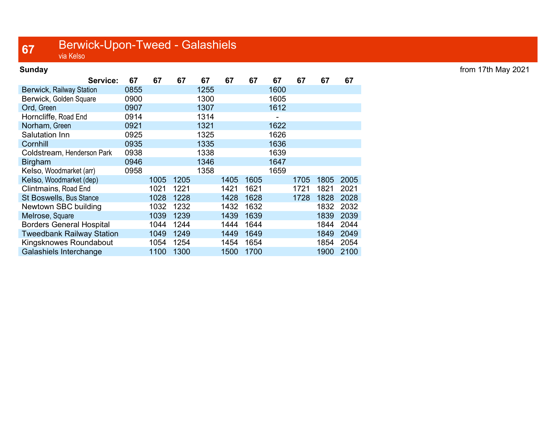## **67** Berwick-Upon-Tweed - Galashiels

| <b>Sunday</b>                   |      |      |      |      |      |      |      |      |      |      |
|---------------------------------|------|------|------|------|------|------|------|------|------|------|
| Service:                        | 67   | 67   | 67   | 67   | 67   | 67   | 67   | 67   | 67   | 67   |
| Berwick, Railway Station        | 0855 |      |      | 1255 |      |      | 1600 |      |      |      |
| Berwick, Golden Square          | 0900 |      |      | 1300 |      |      | 1605 |      |      |      |
| Ord, Green                      | 0907 |      |      | 1307 |      |      | 1612 |      |      |      |
| Horncliffe, Road End            | 0914 |      |      | 1314 |      |      |      |      |      |      |
| Norham, Green                   | 0921 |      |      | 1321 |      |      | 1622 |      |      |      |
| Salutation Inn                  | 0925 |      |      | 1325 |      |      | 1626 |      |      |      |
| Cornhill                        | 0935 |      |      | 1335 |      |      | 1636 |      |      |      |
| Coldstream, Henderson Park      | 0938 |      |      | 1338 |      |      | 1639 |      |      |      |
| <b>Birgham</b>                  | 0946 |      |      | 1346 |      |      | 1647 |      |      |      |
| Kelso, Woodmarket (arr)         | 0958 |      |      | 1358 |      |      | 1659 |      |      |      |
| Kelso, Woodmarket (dep)         |      | 1005 | 1205 |      | 1405 | 1605 |      | 1705 | 1805 | 2005 |
| Clintmains, Road End            |      | 1021 | 1221 |      | 1421 | 1621 |      | 1721 | 1821 | 2021 |
| <b>St Boswells, Bus Stance</b>  |      | 1028 | 1228 |      | 1428 | 1628 |      | 1728 | 1828 | 2028 |
| Newtown SBC building            |      | 1032 | 1232 |      | 1432 | 1632 |      |      | 1832 | 2032 |
| Melrose, Square                 |      | 1039 | 1239 |      | 1439 | 1639 |      |      | 1839 | 2039 |
| <b>Borders General Hospital</b> |      | 1044 | 1244 |      | 1444 | 1644 |      |      | 1844 | 2044 |
| Tweedbank Railway Station       |      | 1049 | 1249 |      | 1449 | 1649 |      |      | 1849 | 2049 |
| Kingsknowes Roundabout          |      | 1054 | 1254 |      | 1454 | 1654 |      |      | 1854 | 2054 |
| Galashiels Interchange          |      | 1100 | 1300 |      | 1500 | 1700 |      |      | 1900 | 2100 |